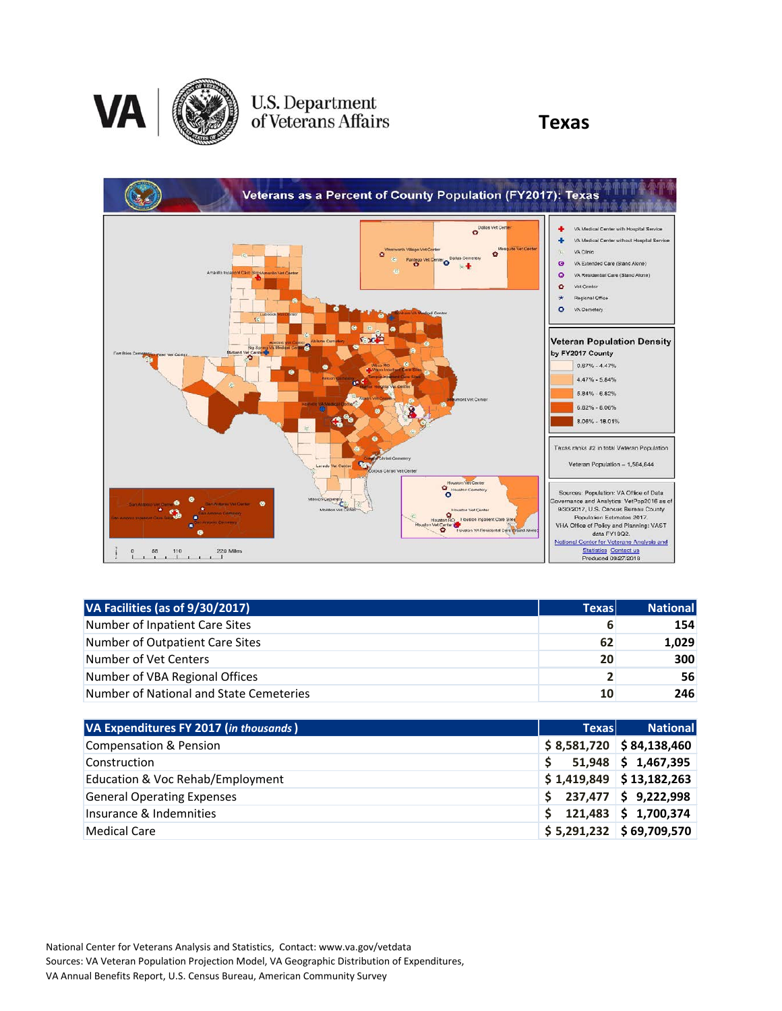

## U.S. Department<br>of Veterans Affairs

### **Texas**



| VA Facilities (as of 9/30/2017)         | <b>Texas</b>   | <b>National</b> |
|-----------------------------------------|----------------|-----------------|
| Number of Inpatient Care Sites          | 6              | 154             |
| Number of Outpatient Care Sites         | 62             | 1,029           |
| Number of Vet Centers                   | 20             | 300             |
| Number of VBA Regional Offices          | $\overline{2}$ | 56              |
| Number of National and State Cemeteries | 10             | 246             |

| VA Expenditures FY 2017 (in thousands) | <b>Texas</b> | <b>National</b>            |
|----------------------------------------|--------------|----------------------------|
| <b>Compensation &amp; Pension</b>      |              | $$8,581,720$ $$84,138,460$ |
| Construction                           |              | $51,948$ \$ 1,467,395      |
| Education & Voc Rehab/Employment       |              | $$1,419,849$ $$13,182,263$ |
| <b>General Operating Expenses</b>      | S.           | 237,477 \$ 9,222,998       |
| Insurance & Indemnities                |              | $121,483$ \$ 1,700,374     |
| <b>Medical Care</b>                    |              | $$5,291,232$ $$69,709,570$ |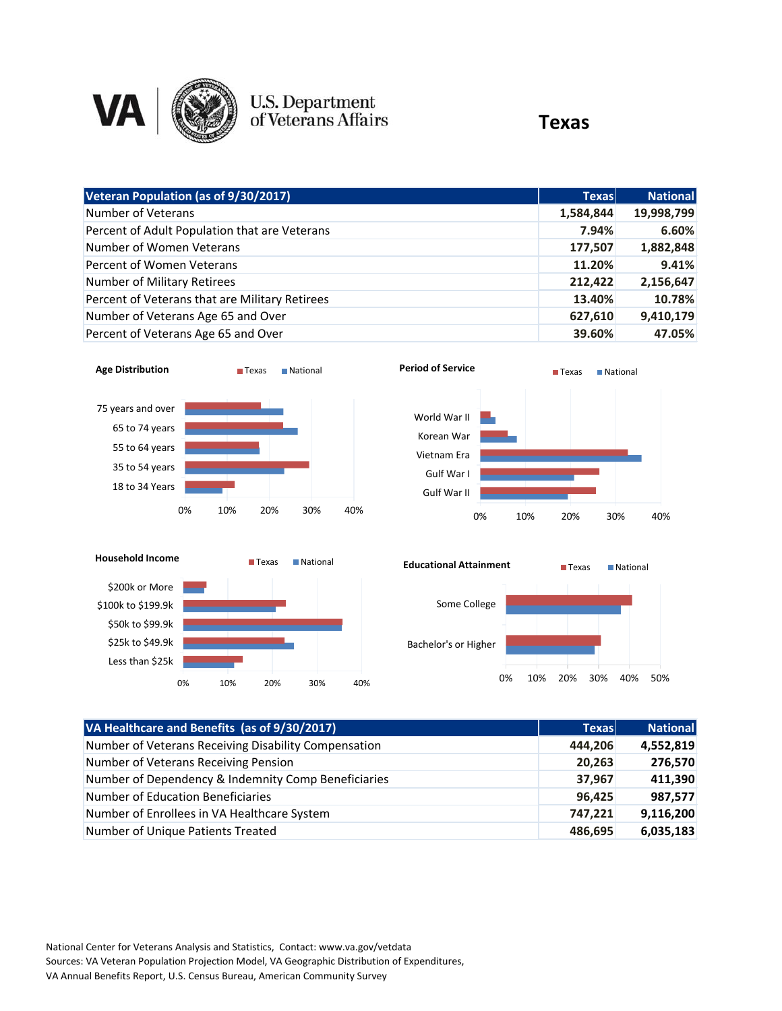

# U.S. Department<br>of Veterans Affairs

### **Texas**

| Veteran Population (as of 9/30/2017)           | <b>Texas</b> | <b>National</b> |
|------------------------------------------------|--------------|-----------------|
| Number of Veterans                             | 1,584,844    | 19,998,799      |
| Percent of Adult Population that are Veterans  | 7.94%        | 6.60%           |
| Number of Women Veterans                       | 177,507      | 1,882,848       |
| Percent of Women Veterans                      | 11.20%       | 9.41%           |
| Number of Military Retirees                    | 212,422      | 2,156,647       |
| Percent of Veterans that are Military Retirees | 13.40%       | 10.78%          |
| Number of Veterans Age 65 and Over             | 627,610      | 9,410,179       |
| Percent of Veterans Age 65 and Over            | 39.60%       | 47.05%          |







| VA Healthcare and Benefits (as of 9/30/2017)         | <b>Texas</b> | <b>National</b> |
|------------------------------------------------------|--------------|-----------------|
| Number of Veterans Receiving Disability Compensation | 444,206      | 4,552,819       |
| Number of Veterans Receiving Pension                 | 20,263       | 276,570         |
| Number of Dependency & Indemnity Comp Beneficiaries  | 37,967       | 411,390         |
| Number of Education Beneficiaries                    | 96,425       | 987,577         |
| Number of Enrollees in VA Healthcare System          | 747,221      | 9,116,200       |
| Number of Unique Patients Treated                    | 486,695      | 6,035,183       |